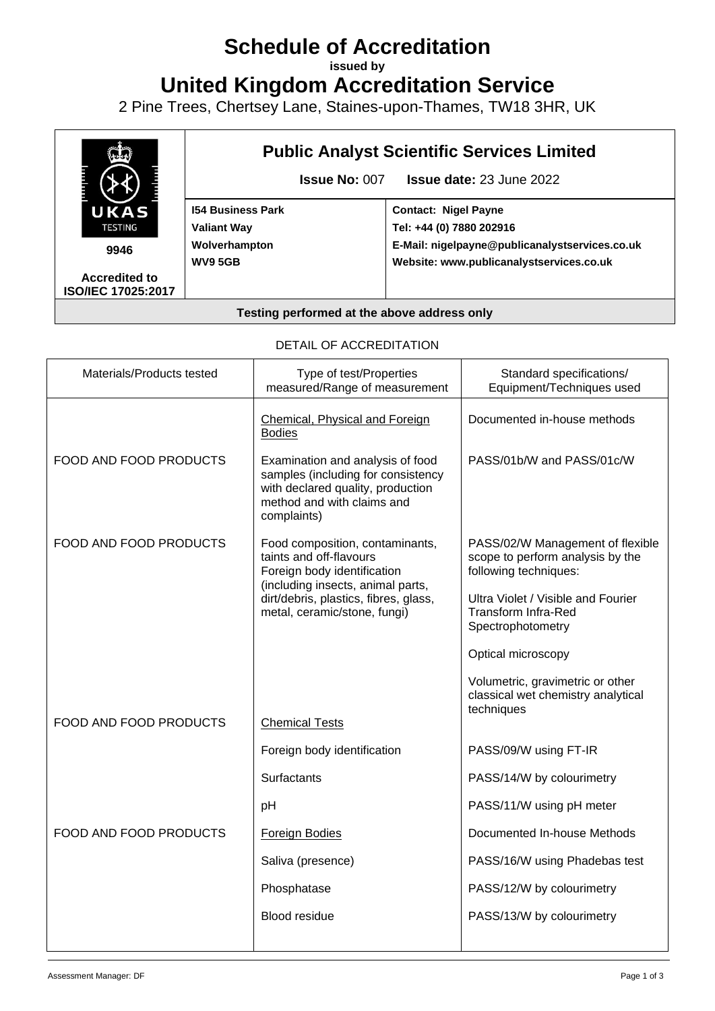# **Schedule of Accreditation**

**issued by**

**United Kingdom Accreditation Service**

2 Pine Trees, Chertsey Lane, Staines-upon-Thames, TW18 3HR, UK



### **Testing performed at the above address only**

#### DETAIL OF ACCREDITATION

| Materials/Products tested     | Type of test/Properties<br>measured/Range of measurement                                                                                                 | Standard specifications/<br>Equipment/Techniques used                                         |
|-------------------------------|----------------------------------------------------------------------------------------------------------------------------------------------------------|-----------------------------------------------------------------------------------------------|
|                               | Chemical, Physical and Foreign<br><b>Bodies</b>                                                                                                          | Documented in-house methods                                                                   |
| FOOD AND FOOD PRODUCTS        | Examination and analysis of food<br>samples (including for consistency<br>with declared quality, production<br>method and with claims and<br>complaints) | PASS/01b/W and PASS/01c/W                                                                     |
| FOOD AND FOOD PRODUCTS        | Food composition, contaminants,<br>taints and off-flavours<br>Foreign body identification                                                                | PASS/02/W Management of flexible<br>scope to perform analysis by the<br>following techniques: |
|                               | (including insects, animal parts,<br>dirt/debris, plastics, fibres, glass,<br>metal, ceramic/stone, fungi)                                               | Ultra Violet / Visible and Fourier<br><b>Transform Infra-Red</b><br>Spectrophotometry         |
|                               |                                                                                                                                                          | Optical microscopy                                                                            |
|                               |                                                                                                                                                          | Volumetric, gravimetric or other<br>classical wet chemistry analytical<br>techniques          |
| <b>FOOD AND FOOD PRODUCTS</b> | <b>Chemical Tests</b>                                                                                                                                    |                                                                                               |
|                               | Foreign body identification                                                                                                                              | PASS/09/W using FT-IR                                                                         |
|                               | Surfactants                                                                                                                                              | PASS/14/W by colourimetry                                                                     |
|                               | pH                                                                                                                                                       | PASS/11/W using pH meter                                                                      |
| FOOD AND FOOD PRODUCTS        | Foreign Bodies                                                                                                                                           | Documented In-house Methods                                                                   |
|                               | Saliva (presence)                                                                                                                                        | PASS/16/W using Phadebas test                                                                 |
|                               | Phosphatase                                                                                                                                              | PASS/12/W by colourimetry                                                                     |
|                               | <b>Blood residue</b>                                                                                                                                     | PASS/13/W by colourimetry                                                                     |
|                               |                                                                                                                                                          |                                                                                               |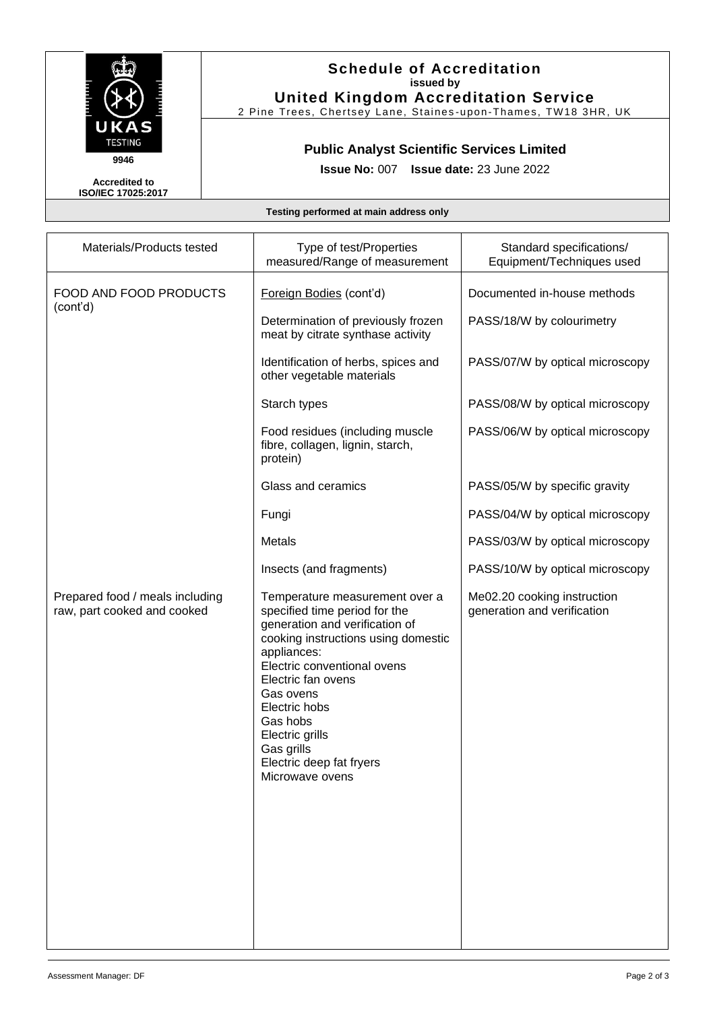

#### **Schedule of Accreditation issued by United Kingdom Accreditation Service**

2 Pine Trees, Chertsey Lane, Staines -upon -Thames, TW18 3HR, UK

## **Public Analyst Scientific Services Limited**

**Issue No:** 007 **Issue date:** 23 June 2022

**Accredited to ISO/IEC 17025:2017**

#### **Testing performed at main address only**

| Materials/Products tested                                      | Type of test/Properties<br>measured/Range of measurement                                                                                                                                                                                                                                                                               | Standard specifications/<br>Equipment/Techniques used      |
|----------------------------------------------------------------|----------------------------------------------------------------------------------------------------------------------------------------------------------------------------------------------------------------------------------------------------------------------------------------------------------------------------------------|------------------------------------------------------------|
| FOOD AND FOOD PRODUCTS<br>(cont'd)                             | Foreign Bodies (cont'd)                                                                                                                                                                                                                                                                                                                | Documented in-house methods                                |
|                                                                | Determination of previously frozen<br>meat by citrate synthase activity                                                                                                                                                                                                                                                                | PASS/18/W by colourimetry                                  |
|                                                                | Identification of herbs, spices and<br>other vegetable materials                                                                                                                                                                                                                                                                       | PASS/07/W by optical microscopy                            |
|                                                                | Starch types                                                                                                                                                                                                                                                                                                                           | PASS/08/W by optical microscopy                            |
|                                                                | Food residues (including muscle<br>fibre, collagen, lignin, starch,<br>protein)                                                                                                                                                                                                                                                        | PASS/06/W by optical microscopy                            |
|                                                                | Glass and ceramics                                                                                                                                                                                                                                                                                                                     | PASS/05/W by specific gravity                              |
|                                                                | Fungi                                                                                                                                                                                                                                                                                                                                  | PASS/04/W by optical microscopy                            |
|                                                                | <b>Metals</b>                                                                                                                                                                                                                                                                                                                          | PASS/03/W by optical microscopy                            |
|                                                                | Insects (and fragments)                                                                                                                                                                                                                                                                                                                | PASS/10/W by optical microscopy                            |
| Prepared food / meals including<br>raw, part cooked and cooked | Temperature measurement over a<br>specified time period for the<br>generation and verification of<br>cooking instructions using domestic<br>appliances:<br>Electric conventional ovens<br>Electric fan ovens<br>Gas ovens<br>Electric hobs<br>Gas hobs<br>Electric grills<br>Gas grills<br>Electric deep fat fryers<br>Microwave ovens | Me02.20 cooking instruction<br>generation and verification |